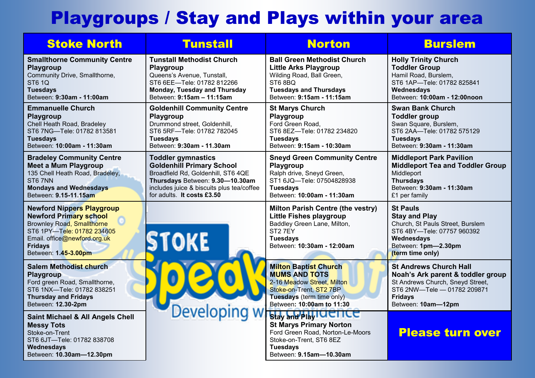# Playgroups / Stay and Plays within your area

| <b>Stoke North</b>                                                                                                                                                                                             | <b>Tunstall</b>                                                                                                                                                                                                   | <b>Norton</b>                                                                                                                                                              | <b>Burslem</b>                                                                                                                                                                |
|----------------------------------------------------------------------------------------------------------------------------------------------------------------------------------------------------------------|-------------------------------------------------------------------------------------------------------------------------------------------------------------------------------------------------------------------|----------------------------------------------------------------------------------------------------------------------------------------------------------------------------|-------------------------------------------------------------------------------------------------------------------------------------------------------------------------------|
| <b>Smallthorne Community Centre</b><br>Playgroup<br>Community Drive, Smallthorne,<br><b>ST6 1Q</b><br><b>Tuesdays</b><br>Between: 9:30am - 11:00am                                                             | <b>Tunstall Methodist Church</b><br>Playgroup<br>Queens's Avenue, Tunstall,<br>ST6 6EE-Tele: 01782 812266<br><b>Monday, Tuesday and Thursday</b><br>Between: 9:15am - 11:15am                                     | <b>Ball Green Methodist Church</b><br><b>Little Arks Playgroup</b><br>Wilding Road, Ball Green,<br>ST68BQ<br><b>Tuesdays and Thursdays</b><br>Between: 9:15am - 11:15am    | <b>Holly Trinity Church</b><br><b>Toddler Group</b><br>Hamil Road, Burslem,<br>ST6 1AP-Tele: 01782 825841<br>Wednesdays<br>Between: 10:00am - 12:00noon                       |
| <b>Emmanuelle Church</b><br><b>Playgroup</b><br>Chell Heath Road, Bradeley<br>ST6 7NG-Tele: 01782 813581<br><b>Tuesdays</b><br>Between: 10:00am - 11:30am                                                      | <b>Goldenhill Community Centre</b><br>Playgroup<br>Drummond street, Goldenhill,<br>ST6 5RF-Tele: 01782 782045<br><b>Tuesdays</b><br>Between: 9:30am - 11.30am                                                     | <b>St Marys Church</b><br>Playgroup<br>Ford Green Road,<br>ST6 8EZ-Tele: 01782 234820<br><b>Tuesdays</b><br>Between: 9:15am - 10:30am                                      | <b>Swan Bank Church</b><br><b>Toddler group</b><br>Swan Square, Burslem,<br>ST6 2AA-Tele: 01782 575129<br><b>Tuesdays</b><br>Between: 9:30am - 11:30am                        |
| <b>Bradeley Community Centre</b><br><b>Meet a Mum Playgroup</b><br>135 Chell Heath Road, Bradeley,<br>ST6 7NN<br><b>Mondays and Wednesdays</b><br>Between: 9.15-11.15am                                        | <b>Toddler gymnastics</b><br><b>Goldenhill Primary School</b><br>Broadfield Rd, Goldenhill, ST6 4QE<br>Thursdays Between: 9.30-10.30am<br>includes juice & biscuits plus tea/coffee<br>for adults. It costs £3.50 | <b>Sneyd Green Community Centre</b><br>Playgroup<br>Ralph drive, Sneyd Green,<br>ST1 6JQ-Tele: 07504828938<br><b>Tuesdays</b><br>Between: 10:00am - 11:30am                | <b>Middleport Park Pavilion</b><br><b>Middleport Tea and Toddler Group</b><br>Middleport<br><b>Thursdays</b><br>Between: 9:30am - 11:30am<br>£1 per family                    |
| <b>Newford Nippers Playgroup</b><br><b>Newford Primary school</b><br><b>Brownley Road, Smallthorne</b><br>ST6 1PY-Tele: 01782 234605<br>Email. office@newford.org.uk<br><b>Fridays</b><br>Between: 1.45-3.00pm | <b>STOKE</b>                                                                                                                                                                                                      | <b>Milton Parish Centre (the vestry)</b><br>Little Fishes playgroup<br>Baddley Green Lane, Milton,<br>ST <sub>2</sub> 7EY<br><b>Tuesdays</b><br>Between: 10:30am - 12:00am | <b>St Pauls</b><br><b>Stay and Play</b><br>Church, St Pauls Street, Burslem<br>ST6 4BY-Tele: 07757 960392<br>Wednesdays<br>Between: 1pm-2.30pm<br>(term time only)            |
| <b>Salem Methodist church</b><br>Playgroup<br>Ford green Road, Smallthorne,<br>ST6 1NX-Tele: 01782 838251<br><b>Thursday and Fridays</b><br>Between: 12.30-2pm                                                 |                                                                                                                                                                                                                   | <b>Milton Baptist Church</b><br><b>MUMS AND TOTS</b><br>2-16 Meadow Street, Milton<br>Stoke-on-Trent, ST2 7BP<br>Tuesdays (term time only)                                 | <b>St Andrews Church Hall</b><br>Noah's Ark parent & toddler group<br>St Andrews Church, Sneyd Street,<br>ST6 2NW-Tele - 01782 209871<br><b>Fridays</b><br>Between: 10am-12pm |
| Saint Michael & All Angels Chell<br><b>Messy Tots</b><br>Stoke-on-Trent<br>ST6 6JT-Tele: 01782 838708<br>Wednesdays<br>Between: 10.30am-12.30pm                                                                |                                                                                                                                                                                                                   | Developing W stay SnapplyTaence<br>Ford Green Road, Norton-Le-Moors<br>Stoke-on-Trent, ST6 8EZ<br><b>Tuesdays</b><br>Between: 9.15am-10.30am                               | <b>Please turn over</b>                                                                                                                                                       |